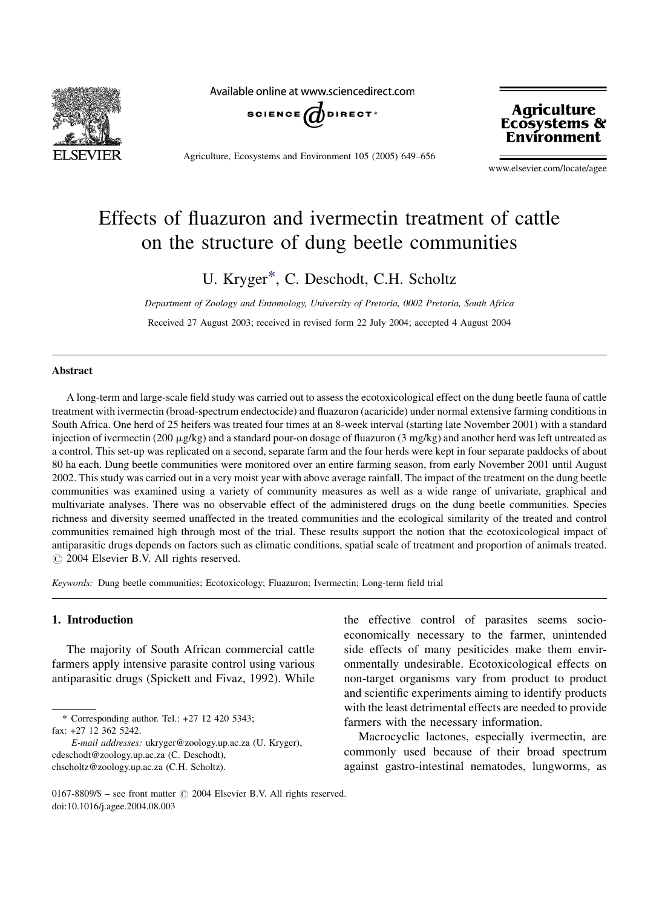

Available online at www.sciencedirect.com



Agriculture, Ecosystems and Environment 105 (2005) 649–656

Agriculture<br>Ecosystems & Environment

www.elsevier.com/locate/agee

# Effects of fluazuron and ivermectin treatment of cattle on the structure of dung beetle communities

U. Kryger\*, C. Deschodt, C.H. Scholtz

Department of Zoology and Entomology, University of Pretoria, 0002 Pretoria, South Africa Received 27 August 2003; received in revised form 22 July 2004; accepted 4 August 2004

# Abstract

A long-term and large-scale field study was carried out to assess the ecotoxicological effect on the dung beetle fauna of cattle treatment with ivermectin (broad-spectrum endectocide) and fluazuron (acaricide) under normal extensive farming conditions in South Africa. One herd of 25 heifers was treated four times at an 8-week interval (starting late November 2001) with a standard injection of ivermectin (200  $\mu$ g/kg) and a standard pour-on dosage of fluazuron (3 mg/kg) and another herd was left untreated as a control. This set-up was replicated on a second, separate farm and the four herds were kept in four separate paddocks of about 80 ha each. Dung beetle communities were monitored over an entire farming season, from early November 2001 until August 2002. This study was carried out in a very moist year with above average rainfall. The impact of the treatment on the dung beetle communities was examined using a variety of community measures as well as a wide range of univariate, graphical and multivariate analyses. There was no observable effect of the administered drugs on the dung beetle communities. Species richness and diversity seemed unaffected in the treated communities and the ecological similarity of the treated and control communities remained high through most of the trial. These results support the notion that the ecotoxicological impact of antiparasitic drugs depends on factors such as climatic conditions, spatial scale of treatment and proportion of animals treated.  $\odot$  2004 Elsevier B.V. All rights reserved.

Keywords: Dung beetle communities; Ecotoxicology; Fluazuron; Ivermectin; Long-term field trial

# 1. Introduction

The majority of South African commercial cattle farmers apply intensive parasite control using various antiparasitic drugs (Spickett and Fivaz, 1992). While

\* Corresponding author. Tel.: +27 12 420 5343;

fax: +27 12 362 5242.

E-mail addresses: ukryger@zoology.up.ac.za (U. Kryger), cdeschodt@zoology.up.ac.za (C. Deschodt), chscholtz@zoology.up.ac.za (C.H. Scholtz).

the effective control of parasites seems socioeconomically necessary to the farmer, unintended side effects of many pesiticides make them environmentally undesirable. Ecotoxicological effects on non-target organisms vary from product to product and scientific experiments aiming to identify products with the least detrimental effects are needed to provide farmers with the necessary information.

Macrocyclic lactones, especially ivermectin, are commonly used because of their broad spectrum against gastro-intestinal nematodes, lungworms, as

0167-8809/\$ – see front matter  $\odot$  2004 Elsevier B.V. All rights reserved. doi:10.1016/j.agee.2004.08.003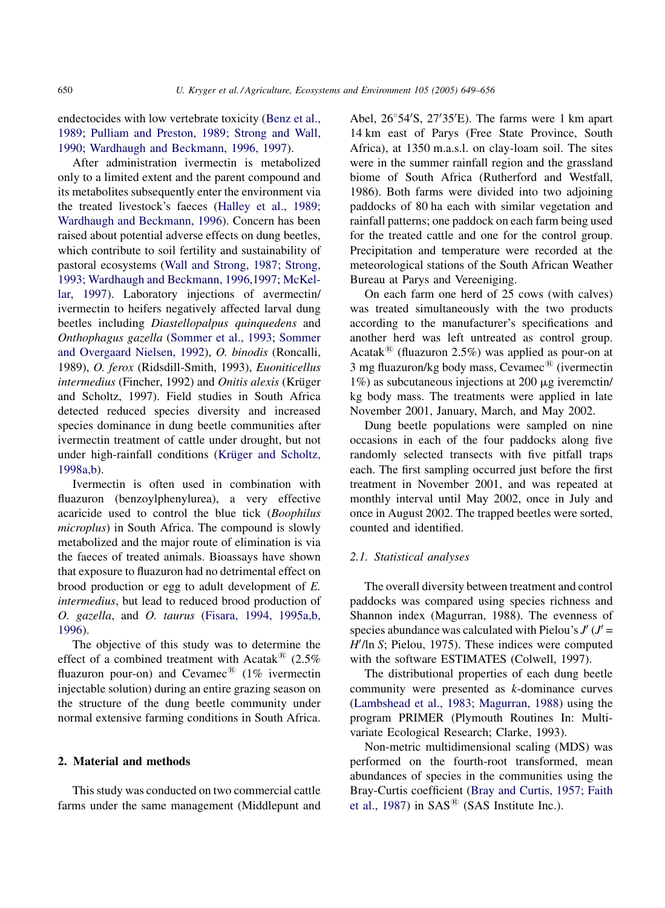endectocides with low vertebrate toxicity ([Benz et al.,](#page-6-0) [1989; Pulliam and Preston, 1989; Strong and Wall,](#page-6-0) [1990; Wardhaugh and Beckmann, 1996, 1997\)](#page-6-0).

After administration ivermectin is metabolized only to a limited extent and the parent compound and its metabolites subsequently enter the environment via the treated livestock's faeces [\(Halley et al., 1989;](#page-6-0) [Wardhaugh and Beckmann, 1996\)](#page-6-0). Concern has been raised about potential adverse effects on dung beetles, which contribute to soil fertility and sustainability of pastoral ecosystems ([Wall and Strong, 1987; Strong,](#page-7-0) [1993; Wardhaugh and Beckmann, 1996,1997; McKel](#page-7-0)[lar, 1997\)](#page-7-0). Laboratory injections of avermectin/ ivermectin to heifers negatively affected larval dung beetles including Diastellopalpus quinquedens and Onthophagus gazella ([Sommer et al., 1993; Sommer](#page-7-0) [and Overgaard Nielsen, 1992](#page-7-0)), O. binodis (Roncalli, 1989), O. ferox (Ridsdill-Smith, 1993), Euoniticellus intermedius (Fincher, 1992) and Onitis alexis (Krüger and Scholtz, 1997). Field studies in South Africa detected reduced species diversity and increased species dominance in dung beetle communities after ivermectin treatment of cattle under drought, but not under high-rainfall conditions (Krüger and Scholtz, [1998a,b](#page-6-0)).

Ivermectin is often used in combination with fluazuron (benzoylphenylurea), a very effective acaricide used to control the blue tick (Boophilus microplus) in South Africa. The compound is slowly metabolized and the major route of elimination is via the faeces of treated animals. Bioassays have shown that exposure to fluazuron had no detrimental effect on brood production or egg to adult development of E. intermedius, but lead to reduced brood production of O. gazella, and O. taurus [\(Fisara, 1994, 1995a,b,](#page-6-0) [1996](#page-6-0)).

The objective of this study was to determine the effect of a combined treatment with Acatak $^{(8)}$  (2.5%) fluazuron pour-on) and Cevamec<sup>®</sup> (1% ivermectin injectable solution) during an entire grazing season on the structure of the dung beetle community under normal extensive farming conditions in South Africa.

#### 2. Material and methods

This study was conducted on two commercial cattle farms under the same management (Middlepunt and

Abel,  $26^{\circ}54'S$ ,  $27'35'E$ ). The farms were 1 km apart 14 km east of Parys (Free State Province, South Africa), at 1350 m.a.s.l. on clay-loam soil. The sites were in the summer rainfall region and the grassland biome of South Africa (Rutherford and Westfall, 1986). Both farms were divided into two adjoining paddocks of 80 ha each with similar vegetation and rainfall patterns; one paddock on each farm being used for the treated cattle and one for the control group. Precipitation and temperature were recorded at the meteorological stations of the South African Weather Bureau at Parys and Vereeniging.

On each farm one herd of 25 cows (with calves) was treated simultaneously with the two products according to the manufacturer's specifications and another herd was left untreated as control group. Acatak<sup>®</sup> (fluazuron 2.5%) was applied as pour-on at 3 mg fluazuron/kg body mass, Cevamec $^{\circledR}$  (ivermectin  $1\%$ ) as subcutaneous injections at 200  $\mu$ g iveremctin/ kg body mass. The treatments were applied in late November 2001, January, March, and May 2002.

Dung beetle populations were sampled on nine occasions in each of the four paddocks along five randomly selected transects with five pitfall traps each. The first sampling occurred just before the first treatment in November 2001, and was repeated at monthly interval until May 2002, once in July and once in August 2002. The trapped beetles were sorted, counted and identified.

# 2.1. Statistical analyses

The overall diversity between treatment and control paddocks was compared using species richness and Shannon index (Magurran, 1988). The evenness of species abundance was calculated with Pielou's  $J'(J' =$  $H'/\ln S$ ; Pielou, 1975). These indices were computed with the software ESTIMATES (Colwell, 1997).

The distributional properties of each dung beetle community were presented as k-dominance curves ([Lambshead et al., 1983; Magurran, 1988\)](#page-6-0) using the program PRIMER (Plymouth Routines In: Multivariate Ecological Research; Clarke, 1993).

Non-metric multidimensional scaling (MDS) was performed on the fourth-root transformed, mean abundances of species in the communities using the Bray-Curtis coefficient [\(Bray and Curtis, 1957; Faith](#page-6-0) [et al., 1987\)](#page-6-0) in  $SAS^{\textcircled{B}}$  (SAS Institute Inc.).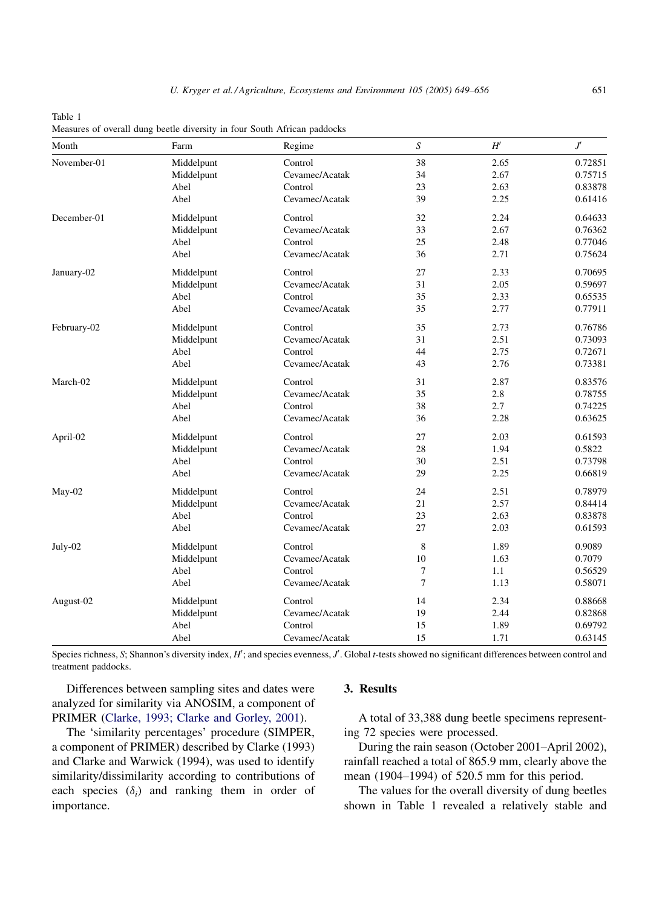| Month       | Farm       | Regime         | $\boldsymbol{S}$ | H'   | $J^{\prime}$ |
|-------------|------------|----------------|------------------|------|--------------|
| November-01 | Middelpunt | Control        | 38               | 2.65 | 0.72851      |
|             | Middelpunt | Cevamec/Acatak | 34               | 2.67 | 0.75715      |
|             | Abel       | Control        | 23               | 2.63 | 0.83878      |
|             | Abel       | Cevamec/Acatak | 39               | 2.25 | 0.61416      |
| December-01 | Middelpunt | Control        | 32               | 2.24 | 0.64633      |
|             | Middelpunt | Cevamec/Acatak | 33               | 2.67 | 0.76362      |
|             | Abel       | Control        | 25               | 2.48 | 0.77046      |
|             | Abel       | Cevamec/Acatak | 36               | 2.71 | 0.75624      |
| January-02  | Middelpunt | Control        | 27               | 2.33 | 0.70695      |
|             | Middelpunt | Cevamec/Acatak | 31               | 2.05 | 0.59697      |
|             | Abel       | Control        | 35               | 2.33 | 0.65535      |
|             | Abel       | Cevamec/Acatak | 35               | 2.77 | 0.77911      |
| February-02 | Middelpunt | Control        | 35               | 2.73 | 0.76786      |
|             | Middelpunt | Cevamec/Acatak | 31               | 2.51 | 0.73093      |
|             | Abel       | Control        | 44               | 2.75 | 0.72671      |
|             | Abel       | Cevamec/Acatak | 43               | 2.76 | 0.73381      |
| March-02    | Middelpunt | Control        | 31               | 2.87 | 0.83576      |
|             | Middelpunt | Cevamec/Acatak | 35               | 2.8  | 0.78755      |
|             | Abel       | Control        | 38               | 2.7  | 0.74225      |
|             | Abel       | Cevamec/Acatak | 36               | 2.28 | 0.63625      |
| April-02    | Middelpunt | Control        | 27               | 2.03 | 0.61593      |
|             | Middelpunt | Cevamec/Acatak | 28               | 1.94 | 0.5822       |
|             | Abel       | Control        | 30               | 2.51 | 0.73798      |
|             | Abel       | Cevamec/Acatak | 29               | 2.25 | 0.66819      |
| May-02      | Middelpunt | Control        | 24               | 2.51 | 0.78979      |
|             | Middelpunt | Cevamec/Acatak | 21               | 2.57 | 0.84414      |
|             | Abel       | Control        | 23               | 2.63 | 0.83878      |
|             | Abel       | Cevamec/Acatak | 27               | 2.03 | 0.61593      |
| July-02     | Middelpunt | Control        | 8                | 1.89 | 0.9089       |
|             | Middelpunt | Cevamec/Acatak | 10               | 1.63 | 0.7079       |
|             | Abel       | Control        | 7                | 1.1  | 0.56529      |
|             | Abel       | Cevamec/Acatak | $\overline{7}$   | 1.13 | 0.58071      |
| August-02   | Middelpunt | Control        | 14               | 2.34 | 0.88668      |
|             | Middelpunt | Cevamec/Acatak | 19               | 2.44 | 0.82868      |
|             | Abel       | Control        | 15               | 1.89 | 0.69792      |
|             | Abel       | Cevamec/Acatak | 15               | 1.71 | 0.63145      |

Table 1 Measures of overall dung beetle diversity in four South African paddocks

Species richness, S; Shannon's diversity index,  $H'$ ; and species evenness,  $J'$ . Global t-tests showed no significant differences between control and treatment paddocks.

Differences between sampling sites and dates were analyzed for similarity via ANOSIM, a component of PRIMER [\(Clarke, 1993; Clarke and Gorley, 2001\)](#page-6-0).

The 'similarity percentages' procedure (SIMPER, a component of PRIMER) described by Clarke (1993) and Clarke and Warwick (1994), was used to identify similarity/dissimilarity according to contributions of each species  $(\delta_i)$  and ranking them in order of importance.

# 3. Results

A total of 33,388 dung beetle specimens representing 72 species were processed.

During the rain season (October 2001–April 2002), rainfall reached a total of 865.9 mm, clearly above the mean (1904–1994) of 520.5 mm for this period.

The values for the overall diversity of dung beetles shown in Table 1 revealed a relatively stable and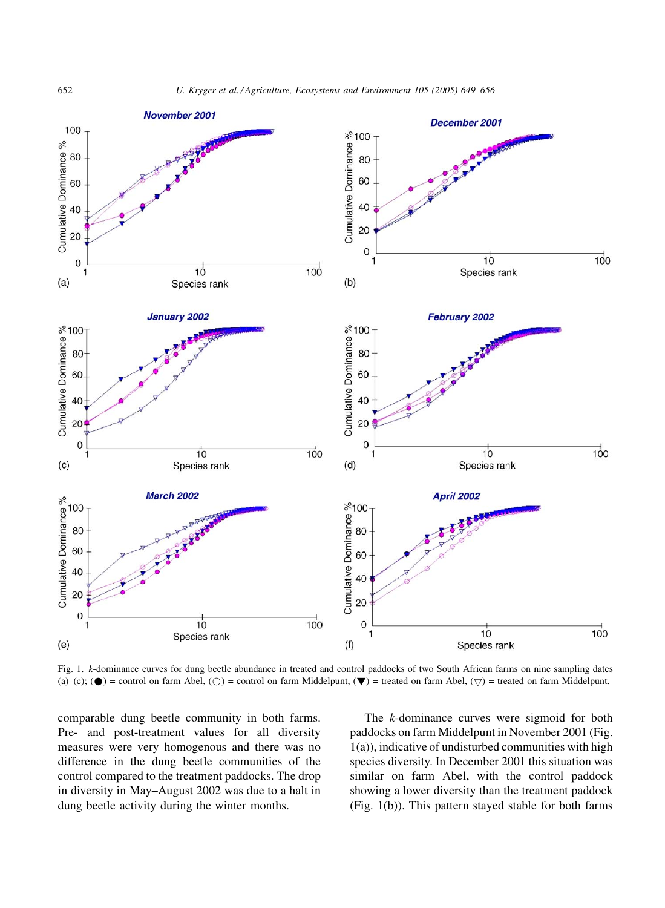

Fig. 1. k-dominance curves for dung beetle abundance in treated and control paddocks of two South African farms on nine sampling dates (a)–(c); ( $\bullet$ ) = control on farm Abel, ( $\circ$ ) = control on farm Middelpunt, ( $\nabla$ ) = treated on farm Abel, ( $\circ$ ) = treated on farm Middelpunt.

comparable dung beetle community in both farms. Pre- and post-treatment values for all diversity measures were very homogenous and there was no difference in the dung beetle communities of the control compared to the treatment paddocks. The drop in diversity in May–August 2002 was due to a halt in dung beetle activity during the winter months.

The k-dominance curves were sigmoid for both paddocks on farm Middelpunt in November 2001 (Fig. 1(a)), indicative of undisturbed communities with high species diversity. In December 2001 this situation was similar on farm Abel, with the control paddock showing a lower diversity than the treatment paddock (Fig. 1(b)). This pattern stayed stable for both farms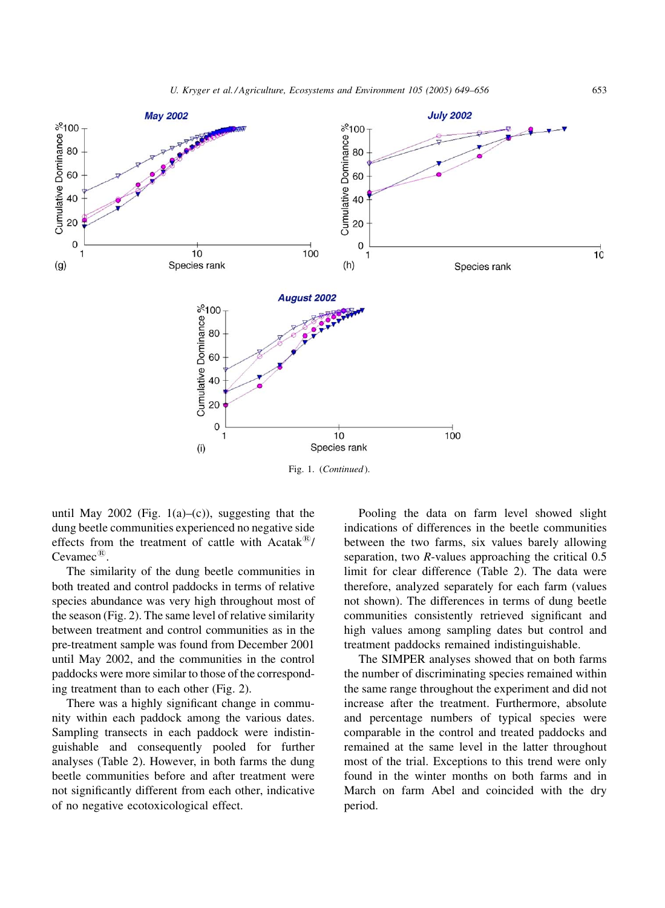

until May 2002 (Fig.  $1(a)$ –(c)), suggesting that the dung beetle communities experienced no negative side effects from the treatment of cattle with Acatak $\mathbb{B}/$ Cevamec<sup>®</sup>

The similarity of the dung beetle communities in both treated and control paddocks in terms of relative species abundance was very high throughout most of the season (Fig. 2). The same level of relative similarity between treatment and control communities as in the pre-treatment sample was found from December 2001 until May 2002, and the communities in the control paddocks were more similar to those of the corresponding treatment than to each other (Fig. 2).

There was a highly significant change in community within each paddock among the various dates. Sampling transects in each paddock were indistinguishable and consequently pooled for further analyses (Table 2). However, in both farms the dung beetle communities before and after treatment were not significantly different from each other, indicative of no negative ecotoxicological effect.

Pooling the data on farm level showed slight indications of differences in the beetle communities between the two farms, six values barely allowing separation, two R-values approaching the critical 0.5 limit for clear difference (Table 2). The data were therefore, analyzed separately for each farm (values not shown). The differences in terms of dung beetle communities consistently retrieved significant and high values among sampling dates but control and treatment paddocks remained indistinguishable.

The SIMPER analyses showed that on both farms the number of discriminating species remained within the same range throughout the experiment and did not increase after the treatment. Furthermore, absolute and percentage numbers of typical species were comparable in the control and treated paddocks and remained at the same level in the latter throughout most of the trial. Exceptions to this trend were only found in the winter months on both farms and in March on farm Abel and coincided with the dry period.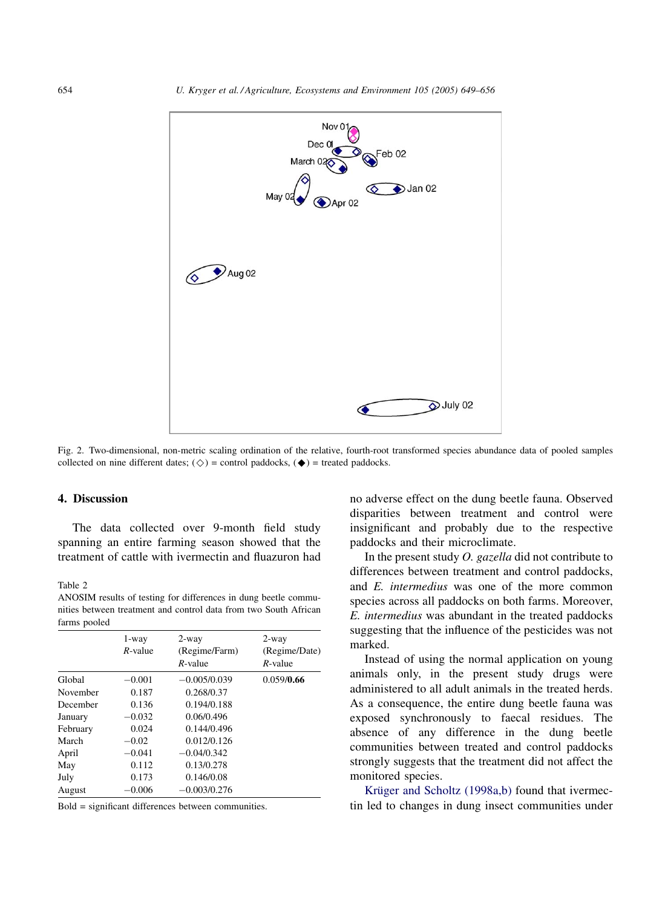

Fig. 2. Two-dimensional, non-metric scaling ordination of the relative, fourth-root transformed species abundance data of pooled samples collected on nine different dates; ( $\diamond$ ) = control paddocks, ( $\blacklozenge$ ) = treated paddocks.

# 4. Discussion

The data collected over 9-month field study spanning an entire farming season showed that the treatment of cattle with ivermectin and fluazuron had

#### Table 2

ANOSIM results of testing for differences in dung beetle communities between treatment and control data from two South African farms pooled

|          | 1-way<br>$R$ -value | $2$ -way<br>(Regime/Farm)<br>$R$ -value | $2$ -way<br>(Regime/Date)<br>$R$ -value |
|----------|---------------------|-----------------------------------------|-----------------------------------------|
| Global   | $-0.001$            | $-0.005/0.039$                          | 0.059/0.66                              |
| November | 0.187               | 0.268/0.37                              |                                         |
| December | 0.136               | 0.194/0.188                             |                                         |
| January  | $-0.032$            | 0.06/0.496                              |                                         |
| February | 0.024               | 0.144/0.496                             |                                         |
| March    | $-0.02$             | 0.012/0.126                             |                                         |
| April    | $-0.041$            | $-0.04/0.342$                           |                                         |
| May      | 0.112               | 0.13/0.278                              |                                         |
| July     | 0.173               | 0.146/0.08                              |                                         |
| August   | $-0.006$            | $-0.003/0.276$                          |                                         |

Bold = significant differences between communities.

no adverse effect on the dung beetle fauna. Observed disparities between treatment and control were insignificant and probably due to the respective paddocks and their microclimate.

In the present study O. gazella did not contribute to differences between treatment and control paddocks, and E. intermedius was one of the more common species across all paddocks on both farms. Moreover, E. intermedius was abundant in the treated paddocks suggesting that the influence of the pesticides was not marked.

Instead of using the normal application on young animals only, in the present study drugs were administered to all adult animals in the treated herds. As a consequence, the entire dung beetle fauna was exposed synchronously to faecal residues. The absence of any difference in the dung beetle communities between treated and control paddocks strongly suggests that the treatment did not affect the monitored species.

Krüger and Scholtz (1998a,b) found that ivermectin led to changes in dung insect communities under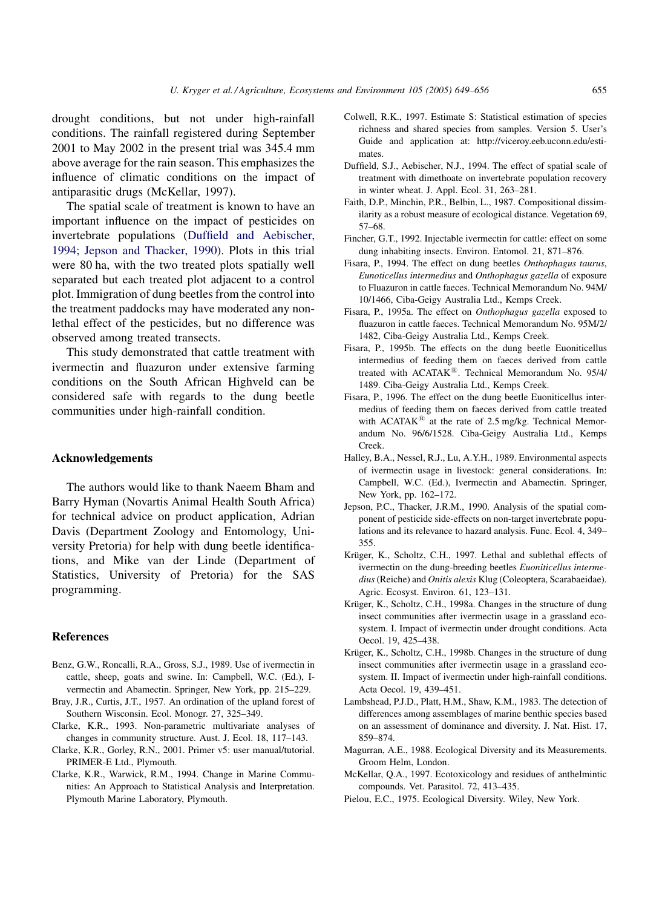<span id="page-6-0"></span>drought conditions, but not under high-rainfall conditions. The rainfall registered during September 2001 to May 2002 in the present trial was 345.4 mm above average for the rain season. This emphasizes the influence of climatic conditions on the impact of antiparasitic drugs (McKellar, 1997).

The spatial scale of treatment is known to have an important influence on the impact of pesticides on invertebrate populations (Duffield and Aebischer, 1994; Jepson and Thacker, 1990). Plots in this trial were 80 ha, with the two treated plots spatially well separated but each treated plot adjacent to a control plot. Immigration of dung beetles from the control into the treatment paddocks may have moderated any nonlethal effect of the pesticides, but no difference was observed among treated transects.

This study demonstrated that cattle treatment with ivermectin and fluazuron under extensive farming conditions on the South African Highveld can be considered safe with regards to the dung beetle communities under high-rainfall condition.

# Acknowledgements

The authors would like to thank Naeem Bham and Barry Hyman (Novartis Animal Health South Africa) for technical advice on product application, Adrian Davis (Department Zoology and Entomology, University Pretoria) for help with dung beetle identifications, and Mike van der Linde (Department of Statistics, University of Pretoria) for the SAS programming.

# **References**

- Benz, G.W., Roncalli, R.A., Gross, S.J., 1989. Use of ivermectin in cattle, sheep, goats and swine. In: Campbell, W.C. (Ed.), Ivermectin and Abamectin. Springer, New York, pp. 215–229.
- Bray, J.R., Curtis, J.T., 1957. An ordination of the upland forest of Southern Wisconsin. Ecol. Monogr. 27, 325–349.
- Clarke, K.R., 1993. Non-parametric multivariate analyses of changes in community structure. Aust. J. Ecol. 18, 117–143.
- Clarke, K.R., Gorley, R.N., 2001. Primer v5: user manual/tutorial. PRIMER-E Ltd., Plymouth.
- Clarke, K.R., Warwick, R.M., 1994. Change in Marine Communities: An Approach to Statistical Analysis and Interpretation. Plymouth Marine Laboratory, Plymouth.
- Colwell, R.K., 1997. Estimate S: Statistical estimation of species richness and shared species from samples. Version 5. User's Guide and application at: http://viceroy.eeb.uconn.edu/estimates.
- Duffield, S.J., Aebischer, N.J., 1994. The effect of spatial scale of treatment with dimethoate on invertebrate population recovery in winter wheat. J. Appl. Ecol. 31, 263–281.
- Faith, D.P., Minchin, P.R., Belbin, L., 1987. Compositional dissimilarity as a robust measure of ecological distance. Vegetation 69, 57–68.
- Fincher, G.T., 1992. Injectable ivermectin for cattle: effect on some dung inhabiting insects. Environ. Entomol. 21, 871–876.
- Fisara, P., 1994. The effect on dung beetles Onthophagus taurus, Eunoticellus intermedius and Onthophagus gazella of exposure to Fluazuron in cattle faeces. Technical Memorandum No. 94M/ 10/1466, Ciba-Geigy Australia Ltd., Kemps Creek.
- Fisara, P., 1995a. The effect on Onthophagus gazella exposed to fluazuron in cattle faeces. Technical Memorandum No. 95M/2/ 1482, Ciba-Geigy Australia Ltd., Kemps Creek.
- Fisara, P., 1995b. The effects on the dung beetle Euoniticellus intermedius of feeding them on faeces derived from cattle treated with  $ACATAK^{\circledR}$ . Technical Memorandum No. 95/4/ 1489. Ciba-Geigy Australia Ltd., Kemps Creek.
- Fisara, P., 1996. The effect on the dung beetle Euoniticellus intermedius of feeding them on faeces derived from cattle treated with  $ACATAK^®$  at the rate of 2.5 mg/kg. Technical Memorandum No. 96/6/1528. Ciba-Geigy Australia Ltd., Kemps Creek.
- Halley, B.A., Nessel, R.J., Lu, A.Y.H., 1989. Environmental aspects of ivermectin usage in livestock: general considerations. In: Campbell, W.C. (Ed.), Ivermectin and Abamectin. Springer, New York, pp. 162–172.
- Jepson, P.C., Thacker, J.R.M., 1990. Analysis of the spatial component of pesticide side-effects on non-target invertebrate populations and its relevance to hazard analysis. Func. Ecol. 4, 349– 355.
- Krüger, K., Scholtz, C.H., 1997. Lethal and sublethal effects of ivermectin on the dung-breeding beetles Euoniticellus intermedius (Reiche) and Onitis alexis Klug (Coleoptera, Scarabaeidae). Agric. Ecosyst. Environ. 61, 123–131.
- Krüger, K., Scholtz, C.H., 1998a. Changes in the structure of dung insect communities after ivermectin usage in a grassland ecosystem. I. Impact of ivermectin under drought conditions. Acta Oecol. 19, 425–438.
- Krüger, K., Scholtz, C.H., 1998b. Changes in the structure of dung insect communities after ivermectin usage in a grassland ecosystem. II. Impact of ivermectin under high-rainfall conditions. Acta Oecol. 19, 439–451.
- Lambshead, P.J.D., Platt, H.M., Shaw, K.M., 1983. The detection of differences among assemblages of marine benthic species based on an assessment of dominance and diversity. J. Nat. Hist. 17, 859–874.
- Magurran, A.E., 1988. Ecological Diversity and its Measurements. Groom Helm, London.
- McKellar, Q.A., 1997. Ecotoxicology and residues of anthelmintic compounds. Vet. Parasitol. 72, 413–435.
- Pielou, E.C., 1975. Ecological Diversity. Wiley, New York.